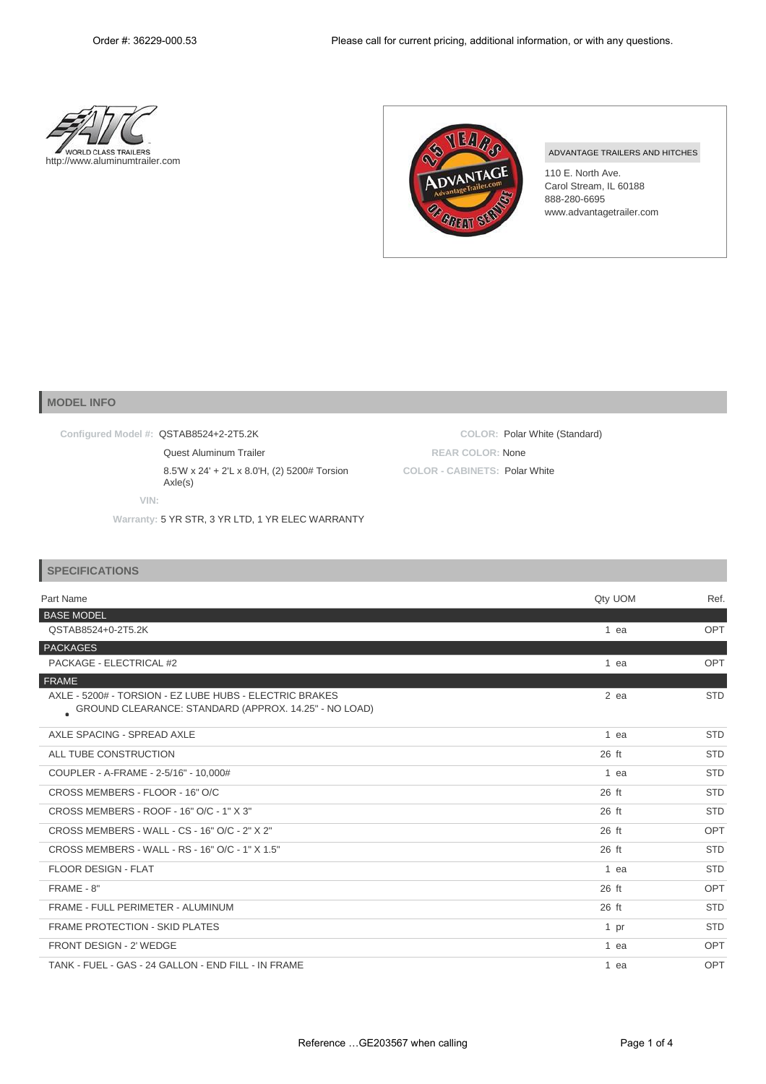**COLOR:** Polar White (Standard)

**REAR COLOR:** None **COLOR - CABINETS:** Polar White





## ADVANTAGE TRAILERS AND HITCHES

110 E. North Ave. Carol Stream, IL 60188 888-280-6695 [www.advantagetrailer.com](http://www.advantagetrailer.com/)

## **MODEL INFO**

**Configured Model #:** QSTAB8524+2-2T5.2K

Quest Aluminum Trailer

8.5'W x 24' + 2'L x 8.0'H, (2) 5200# Torsion Axle(s)

**VIN:**

**Warranty:** 5 YR STR, 3 YR LTD, 1 YR ELEC WARRANTY

| <b>SPECIFICATIONS</b>                                                                                            |         |            |
|------------------------------------------------------------------------------------------------------------------|---------|------------|
| Part Name                                                                                                        | Qty UOM | Ref.       |
| <b>BASE MODEL</b>                                                                                                |         |            |
| QSTAB8524+0-2T5.2K                                                                                               | 1 ea    | OPT        |
| PACKAGES                                                                                                         |         |            |
| PACKAGE - ELECTRICAL #2                                                                                          | 1 ea    | OPT        |
| FRAME                                                                                                            |         |            |
| AXLE - 5200# - TORSION - EZ LUBE HUBS - ELECTRIC BRAKES<br>GROUND CLEARANCE: STANDARD (APPROX. 14.25" - NO LOAD) | $2$ ea  | <b>STD</b> |
| AXLE SPACING - SPREAD AXLE                                                                                       | 1 ea    | <b>STD</b> |
| ALL TUBE CONSTRUCTION                                                                                            | 26 ft   | <b>STD</b> |
| COUPLER - A-FRAME - 2-5/16" - 10,000#                                                                            | 1 ea    | <b>STD</b> |
| CROSS MEMBERS - FLOOR - 16" O/C                                                                                  | 26 ft   | <b>STD</b> |
| CROSS MEMBERS - ROOF - 16" O/C - 1" X 3"                                                                         | 26 ft   | <b>STD</b> |
| CROSS MEMBERS - WALL - CS - 16" O/C - 2" X 2"                                                                    | $26$ ft | OPT        |
| CROSS MEMBERS - WALL - RS - 16" O/C - 1" X 1.5"                                                                  | 26 ft   | <b>STD</b> |
| <b>FLOOR DESIGN - FLAT</b>                                                                                       | $1$ ea  | <b>STD</b> |
| FRAME - 8"                                                                                                       | 26 ft   | OPT        |
| FRAME - FULL PERIMETER - ALUMINUM                                                                                | 26 ft   | <b>STD</b> |
| <b>FRAME PROTECTION - SKID PLATES</b>                                                                            | 1 pr    | <b>STD</b> |
| FRONT DESIGN - 2' WEDGE                                                                                          | 1 ea    | OPT        |
| TANK - FUEL - GAS - 24 GALLON - END FILL - IN FRAME                                                              | 1 ea    | OPT        |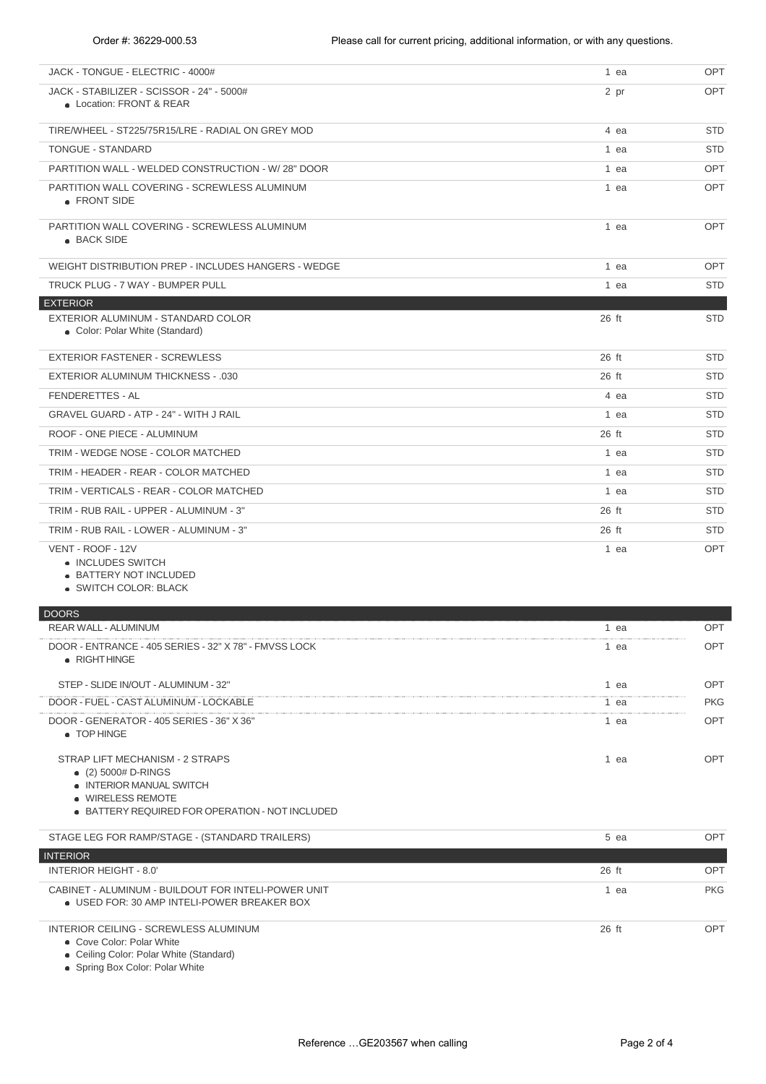| JACK - TONGUE - ELECTRIC - 4000#                                                                                                                           | 1 ea   | <b>OPT</b> |
|------------------------------------------------------------------------------------------------------------------------------------------------------------|--------|------------|
| JACK - STABILIZER - SCISSOR - 24" - 5000#<br>• Location: FRONT & REAR                                                                                      | 2 pr   | <b>OPT</b> |
| TIRE/WHEEL - ST225/75R15/LRE - RADIAL ON GREY MOD                                                                                                          | 4 ea   | <b>STD</b> |
| <b>TONGUE - STANDARD</b>                                                                                                                                   | 1 ea   | <b>STD</b> |
| PARTITION WALL - WELDED CONSTRUCTION - W/28" DOOR                                                                                                          | 1 ea   | <b>OPT</b> |
| PARTITION WALL COVERING - SCREWLESS ALUMINUM<br>• FRONT SIDE                                                                                               | 1 ea   | <b>OPT</b> |
| PARTITION WALL COVERING - SCREWLESS ALUMINUM<br>• BACK SIDE                                                                                                | 1 ea   | OPT        |
| WEIGHT DISTRIBUTION PREP - INCLUDES HANGERS - WEDGE                                                                                                        | 1 ea   | OPT        |
| TRUCK PLUG - 7 WAY - BUMPER PULL                                                                                                                           | 1 ea   | STD        |
| <b>EXTERIOR</b><br>EXTERIOR ALUMINUM - STANDARD COLOR<br>• Color: Polar White (Standard)                                                                   | 26 ft  | <b>STD</b> |
| <b>EXTERIOR FASTENER - SCREWLESS</b>                                                                                                                       | 26 ft  | <b>STD</b> |
| <b>EXTERIOR ALUMINUM THICKNESS - .030</b>                                                                                                                  | 26 ft  | STD        |
| FENDERETTES - AL                                                                                                                                           | 4 ea   | STD        |
| GRAVEL GUARD - ATP - 24" - WITH J RAIL                                                                                                                     | 1 ea   | STD        |
| ROOF - ONE PIECE - ALUMINUM                                                                                                                                | 26 ft  | <b>STD</b> |
| TRIM - WEDGE NOSE - COLOR MATCHED                                                                                                                          | 1 ea   | <b>STD</b> |
| TRIM - HEADER - REAR - COLOR MATCHED                                                                                                                       | 1 ea   | <b>STD</b> |
| TRIM - VERTICALS - REAR - COLOR MATCHED                                                                                                                    | 1 ea   | <b>STD</b> |
| TRIM - RUB RAIL - UPPER - ALUMINUM - 3"                                                                                                                    | 26 ft  | <b>STD</b> |
| TRIM - RUB RAIL - LOWER - ALUMINUM - 3"                                                                                                                    | 26 ft  | <b>STD</b> |
| VENT - ROOF - 12V<br>• INCLUDES SWITCH<br>• BATTERY NOT INCLUDED<br>• SWITCH COLOR: BLACK                                                                  | 1 ea   | <b>OPT</b> |
| <b>DOORS</b>                                                                                                                                               |        |            |
| REAR WALL - ALUMINUM                                                                                                                                       | 1 ea   | <b>OPT</b> |
| DOOR - ENTRANCE - 405 SERIES - 32" X 78" - FMVSS LOCK<br>• RIGHT HINGE                                                                                     | 1 ea   | OPT        |
| STEP - SLIDE IN/OUT - ALUMINUM - 32"                                                                                                                       | 1 ea   | OPT        |
| DOOR - FUEL - CAST ALUMINUM - LOCKABLE                                                                                                                     | $1$ ea | PKG        |
| DOOR - GENERATOR - 405 SERIES - 36" X 36"<br>• TOP HINGE                                                                                                   | 1 ea   | OPT        |
| STRAP LIFT MECHANISM - 2 STRAPS<br>$(2)$ 5000# D-RINGS<br>• INTERIOR MANUAL SWITCH<br>• WIRELESS REMOTE<br>• BATTERY REQUIRED FOR OPERATION - NOT INCLUDED | 1 ea   | OPT        |
| STAGE LEG FOR RAMP/STAGE - (STANDARD TRAILERS)                                                                                                             | 5 ea   | OPT        |
| <b>INTERIOR</b>                                                                                                                                            |        |            |
| <b>INTERIOR HEIGHT - 8.0'</b>                                                                                                                              | 26 ft  | OPT        |
| CABINET - ALUMINUM - BUILDOUT FOR INTELI-POWER UNIT<br>• USED FOR: 30 AMP INTELI-POWER BREAKER BOX                                                         | 1 ea   | PKG        |
| INTERIOR CEILING - SCREWLESS ALUMINUM<br>• Cove Color: Polar White                                                                                         | 26 ft  | OPT        |

Ceiling Color: Polar White (Standard)

Spring Box Color: Polar White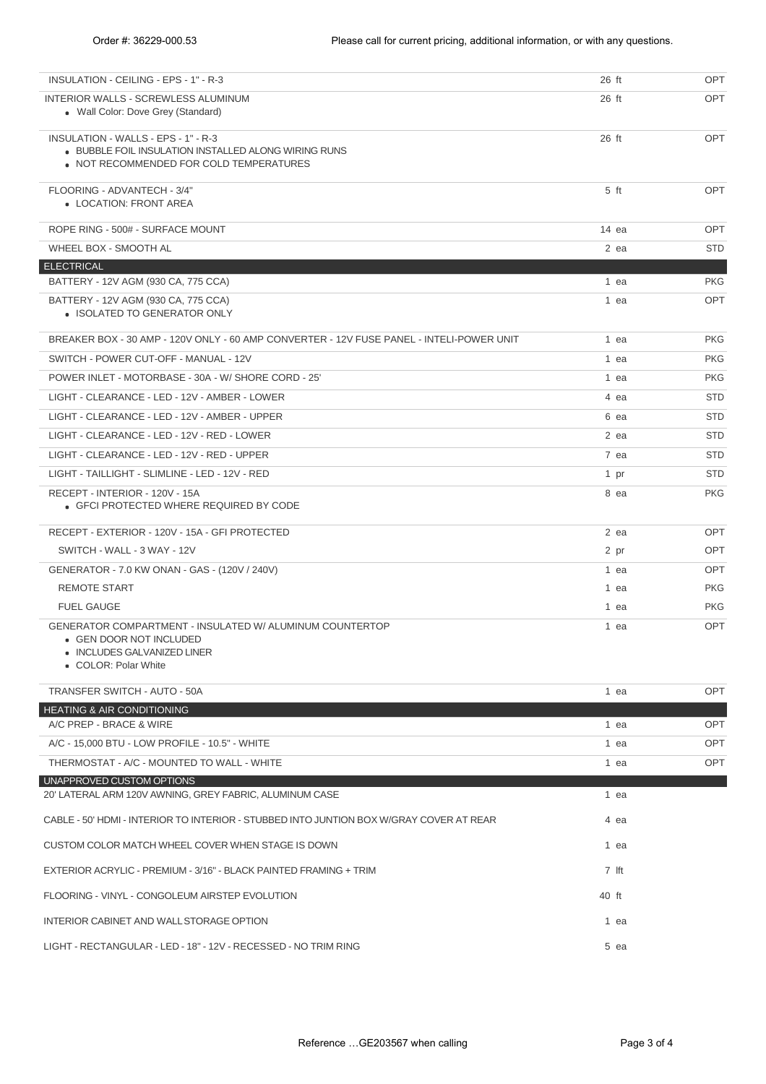| INSULATION - CEILING - EPS - 1" - R-3                                                                                                      | 26 ft  | OPT        |
|--------------------------------------------------------------------------------------------------------------------------------------------|--------|------------|
| INTERIOR WALLS - SCREWLESS ALUMINUM<br>• Wall Color: Dove Grey (Standard)                                                                  | 26 ft  | <b>OPT</b> |
| INSULATION - WALLS - EPS - 1" - R-3<br>• BUBBLE FOIL INSULATION INSTALLED ALONG WIRING RUNS<br>• NOT RECOMMENDED FOR COLD TEMPERATURES     | 26 ft  | OPT        |
| FLOORING - ADVANTECH - 3/4"<br>• LOCATION: FRONT AREA                                                                                      | $5$ ft | <b>OPT</b> |
| ROPE RING - 500# - SURFACE MOUNT                                                                                                           | 14 ea  | <b>OPT</b> |
| WHEEL BOX - SMOOTH AL                                                                                                                      | 2 ea   | <b>STD</b> |
| <b>ELECTRICAL</b>                                                                                                                          |        |            |
| BATTERY - 12V AGM (930 CA, 775 CCA)                                                                                                        | 1 ea   | <b>PKG</b> |
| BATTERY - 12V AGM (930 CA, 775 CCA)<br>• ISOLATED TO GENERATOR ONLY                                                                        | 1 ea   | OPT        |
| BREAKER BOX - 30 AMP - 120V ONLY - 60 AMP CONVERTER - 12V FUSE PANEL - INTELI-POWER UNIT                                                   | 1 ea   | <b>PKG</b> |
| SWITCH - POWER CUT-OFF - MANUAL - 12V                                                                                                      | 1 ea   | PKG        |
| POWER INLET - MOTORBASE - 30A - W/ SHORE CORD - 25'                                                                                        | 1 ea   | PKG        |
| LIGHT - CLEARANCE - LED - 12V - AMBER - LOWER                                                                                              | 4 ea   | <b>STD</b> |
| LIGHT - CLEARANCE - LED - 12V - AMBER - UPPER                                                                                              | 6 ea   | <b>STD</b> |
| LIGHT - CLEARANCE - LED - 12V - RED - LOWER                                                                                                | 2 ea   | <b>STD</b> |
| LIGHT - CLEARANCE - LED - 12V - RED - UPPER                                                                                                | 7 ea   | <b>STD</b> |
| LIGHT - TAILLIGHT - SLIMLINE - LED - 12V - RED                                                                                             | 1 pr   | <b>STD</b> |
| RECEPT - INTERIOR - 120V - 15A<br>• GFCI PROTECTED WHERE REQUIRED BY CODE                                                                  | 8 ea   | <b>PKG</b> |
| RECEPT - EXTERIOR - 120V - 15A - GFI PROTECTED                                                                                             | 2 ea   | OPT        |
| SWITCH - WALL - 3 WAY - 12V                                                                                                                | 2 pr   | <b>OPT</b> |
| GENERATOR - 7.0 KW ONAN - GAS - (120V / 240V)                                                                                              | 1 ea   | <b>OPT</b> |
| REMOTE START                                                                                                                               | 1 ea   | <b>PKG</b> |
| <b>FUEL GAUGE</b>                                                                                                                          | 1 ea   | <b>PKG</b> |
| GENERATOR COMPARTMENT - INSULATED W/ ALUMINUM COUNTERTOP<br>• GEN DOOR NOT INCLUDED<br>• INCLUDES GALVANIZED LINER<br>• COLOR: Polar White | 1 ea   | <b>OPT</b> |
| TRANSFER SWITCH - AUTO - 50A                                                                                                               | 1 ea   | <b>OPT</b> |
| <b>HEATING &amp; AIR CONDITIONING</b>                                                                                                      |        |            |
| A/C PREP - BRACE & WIRE                                                                                                                    | 1 ea   | <b>OPT</b> |
| A/C - 15.000 BTU - LOW PROFILE - 10.5" - WHITE                                                                                             | 1 ea   | <b>OPT</b> |
| THERMOSTAT - A/C - MOUNTED TO WALL - WHITE                                                                                                 | 1 ea   | <b>OPT</b> |
| UNAPPROVED CUSTOM OPTIONS<br>20' LATERAL ARM 120V AWNING, GREY FABRIC, ALUMINUM CASE                                                       | 1 ea   |            |
| CABLE - 50' HDMI - INTERIOR TO INTERIOR - STUBBED INTO JUNTION BOX W/GRAY COVER AT REAR                                                    | 4 ea   |            |
| CUSTOM COLOR MATCH WHEEL COVER WHEN STAGE IS DOWN                                                                                          | 1 ea   |            |
| EXTERIOR ACRYLIC - PREMIUM - 3/16" - BLACK PAINTED FRAMING + TRIM                                                                          | 7 Ift  |            |
| FLOORING - VINYL - CONGOLEUM AIRSTEP EVOLUTION                                                                                             | 40 ft  |            |
| INTERIOR CABINET AND WALL STORAGE OPTION                                                                                                   | 1 ea   |            |
| LIGHT - RECTANGULAR - LED - 18" - 12V - RECESSED - NO TRIM RING                                                                            | 5 ea   |            |